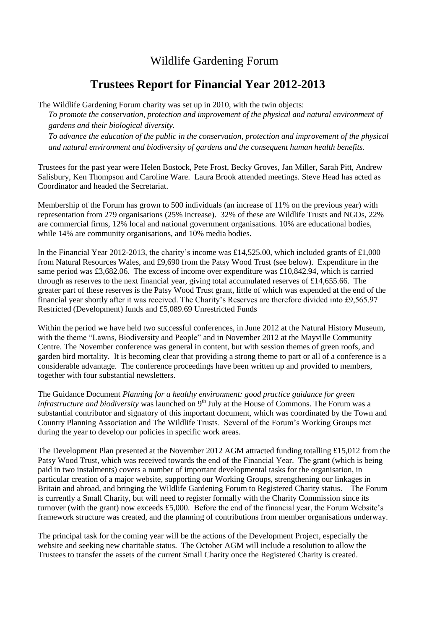## Wildlife Gardening Forum

## **Trustees Report for Financial Year 2012-2013**

The Wildlife Gardening Forum charity was set up in 2010, with the twin objects:

*To promote the conservation, protection and improvement of the physical and natural environment of gardens and their biological diversity.*

*To advance the education of the public in the conservation, protection and improvement of the physical and natural environment and biodiversity of gardens and the consequent human health benefits.*

Trustees for the past year were Helen Bostock, Pete Frost, Becky Groves, Jan Miller, Sarah Pitt, Andrew Salisbury, Ken Thompson and Caroline Ware. Laura Brook attended meetings. Steve Head has acted as Coordinator and headed the Secretariat.

Membership of the Forum has grown to 500 individuals (an increase of 11% on the previous year) with representation from 279 organisations (25% increase). 32% of these are Wildlife Trusts and NGOs, 22% are commercial firms, 12% local and national government organisations. 10% are educational bodies, while 14% are community organisations, and 10% media bodies.

In the Financial Year 2012-2013, the charity's income was £14,525.00, which included grants of £1,000 from Natural Resources Wales, and £9,690 from the Patsy Wood Trust (see below). Expenditure in the same period was £3,682.06. The excess of income over expenditure was £10,842.94, which is carried through as reserves to the next financial year, giving total accumulated reserves of £14,655.66. The greater part of these reserves is the Patsy Wood Trust grant, little of which was expended at the end of the financial year shortly after it was received. The Charity's Reserves are therefore divided into £9,565.97 Restricted (Development) funds and £5,089.69 Unrestricted Funds

Within the period we have held two successful conferences, in June 2012 at the Natural History Museum, with the theme "Lawns, Biodiversity and People" and in November 2012 at the Mayville Community Centre. The November conference was general in content, but with session themes of green roofs, and garden bird mortality. It is becoming clear that providing a strong theme to part or all of a conference is a considerable advantage. The conference proceedings have been written up and provided to members, together with four substantial newsletters.

The Guidance Document *Planning for a healthy environment: good practice guidance for green infrastructure and biodiversity* was launched on 9<sup>th</sup> July at the House of Commons. The Forum was a substantial contributor and signatory of this important document, which was coordinated by the Town and Country Planning Association and The Wildlife Trusts. Several of the Forum's Working Groups met during the year to develop our policies in specific work areas.

The Development Plan presented at the November 2012 AGM attracted funding totalling £15,012 from the Patsy Wood Trust, which was received towards the end of the Financial Year. The grant (which is being paid in two instalments) covers a number of important developmental tasks for the organisation, in particular creation of a major website, supporting our Working Groups, strengthening our linkages in Britain and abroad, and bringing the Wildlife Gardening Forum to Registered Charity status. The Forum is currently a Small Charity, but will need to register formally with the Charity Commission since its turnover (with the grant) now exceeds £5,000. Before the end of the financial year, the Forum Website's framework structure was created, and the planning of contributions from member organisations underway.

The principal task for the coming year will be the actions of the Development Project, especially the website and seeking new charitable status. The October AGM will include a resolution to allow the Trustees to transfer the assets of the current Small Charity once the Registered Charity is created.